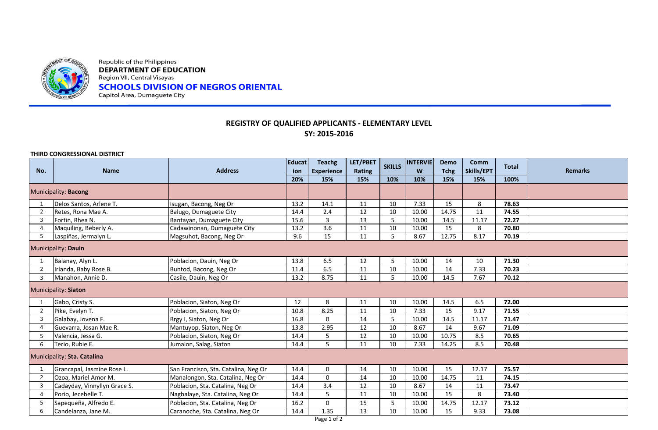

Republic of the Philippines **DEPARTMENT OF EDUCATION** Region VII, Central Visayas **SCHOOLS DIVISION OF NEGROS ORIENTAL**<br>Capitol Area, Dumaguete City

## **REGISTRY OF QUALIFIED APPLICANTS - ELEMENTARY LEVEL SY: 2015-2016**

**THIRD CONGRESSIONAL DISTRICT**

| No.                         | <b>Name</b>                  | <b>Address</b>                       | <b>Educat</b><br>ion<br>20% | <b>Teachg</b><br><b>Experience</b><br>15% | LET/PBET<br><b>Rating</b><br>15% | <b>SKILLS</b><br>10% | <b>INTERVIE</b><br>W<br>10% | Demo<br><b>Tchg</b><br>15% | Comm<br>Skills/EPT<br>15% | <b>Total</b><br>100% | <b>Remarks</b> |
|-----------------------------|------------------------------|--------------------------------------|-----------------------------|-------------------------------------------|----------------------------------|----------------------|-----------------------------|----------------------------|---------------------------|----------------------|----------------|
| Municipality: Bacong        |                              |                                      |                             |                                           |                                  |                      |                             |                            |                           |                      |                |
|                             | Delos Santos, Arlene T.      | Isugan, Bacong, Neg Or               | 13.2                        | 14.1                                      | 11                               | 10                   | 7.33                        | 15                         | 8                         | 78.63                |                |
| $\overline{2}$              | Retes, Rona Mae A.           | Balugo, Dumaguete City               | 14.4                        | 2.4                                       | 12                               | 10                   | 10.00                       | 14.75                      | 11                        | 74.55                |                |
| $\overline{3}$              | Fortin, Rhea N.              | Bantayan, Dumaguete City             | 15.6                        | 3                                         | 13                               | 5                    | 10.00                       | 14.5                       | 11.17                     | 72.27                |                |
| $\overline{4}$              | Maquiling, Beberly A.        | Cadawinonan, Dumaguete City          | 13.2                        | 3.6                                       | 11                               | 10                   | 10.00                       | 15                         | 8                         | 70.80                |                |
| - 5                         | Laspiñas, Jermalyn L.        | Magsuhot, Bacong, Neg Or             | 9.6                         | 15                                        | 11                               | 5                    | 8.67                        | 12.75                      | 8.17                      | 70.19                |                |
| Municipality: Dauin         |                              |                                      |                             |                                           |                                  |                      |                             |                            |                           |                      |                |
|                             | Balanay, Alyn L.             | Poblacion, Dauin, Neg Or             | 13.8                        | 6.5                                       | 12                               | 5                    | 10.00                       | 14                         | 10                        | 71.30                |                |
| $\overline{2}$              | Irlanda, Baby Rose B.        | Buntod, Bacong, Neg Or               | 11.4                        | 6.5                                       | 11                               | 10                   | 10.00                       | 14                         | 7.33                      | 70.23                |                |
| 3                           | Manahon, Annie D.            | Casile, Dauin, Neg Or                | 13.2                        | 8.75                                      | 11                               | 5                    | 10.00                       | 14.5                       | 7.67                      | 70.12                |                |
|                             | <b>Municipality: Siaton</b>  |                                      |                             |                                           |                                  |                      |                             |                            |                           |                      |                |
|                             | Gabo, Cristy S.              | Poblacion, Siaton, Neg Or            | 12                          | 8                                         | 11                               | 10                   | 10.00                       | 14.5                       | 6.5                       | 72.00                |                |
| $\overline{2}$              | Pike, Evelyn T.              | Poblacion, Siaton, Neg Or            | 10.8                        | 8.25                                      | 11                               | 10                   | 7.33                        | 15                         | 9.17                      | 71.55                |                |
| $\overline{3}$              | Galabay, Jovena F.           | Brgy I, Siaton, Neg Or               | 16.8                        | 0                                         | 14                               | 5                    | 10.00                       | 14.5                       | 11.17                     | 71.47                |                |
| $\overline{4}$              | Guevarra, Josan Mae R.       | Mantuyop, Siaton, Neg Or             | 13.8                        | 2.95                                      | 12                               | 10                   | 8.67                        | 14                         | 9.67                      | 71.09                |                |
| - 5                         | Valencia, Jessa G.           | Poblacion, Siaton, Neg Or            | 14.4                        | 5                                         | 12                               | 10                   | 10.00                       | 10.75                      | 8.5                       | 70.65                |                |
| 6                           | Terio, Rubie E.              | Jumalon, Salag, Siaton               | 14.4                        | 5                                         | 11                               | 10                   | 7.33                        | 14.25                      | 8.5                       | 70.48                |                |
| Municipality: Sta. Catalina |                              |                                      |                             |                                           |                                  |                      |                             |                            |                           |                      |                |
| - 1                         | Grancapal, Jasmine Rose L.   | San Francisco, Sta. Catalina, Neg Or | 14.4                        | 0                                         | 14                               | 10                   | 10.00                       | 15                         | 12.17                     | 75.57                |                |
| $\overline{2}$              | Ozoa, Mariel Amor M.         | Manalongon, Sta. Catalina, Neg Or    | 14.4                        | $\mathbf 0$                               | 14                               | 10                   | 10.00                       | 14.75                      | 11                        | 74.15                |                |
| 3                           | Cadayday, Vinnyllyn Grace S. | Poblacion, Sta. Catalina, Neg Or     | 14.4                        | 3.4                                       | 12                               | 10                   | 8.67                        | 14                         | 11                        | 73.47                |                |
| $\overline{4}$              | Porio, Jecebelle T.          | Nagbalaye, Sta. Catalina, Neg Or     | 14.4                        | 5                                         | 11                               | 10                   | 10.00                       | 15                         | 8                         | 73.40                |                |
| 5                           | Sapequeña, Alfredo E.        | Poblacion, Sta. Catalina, Neg Or     | 16.2                        | $\mathbf 0$                               | 15                               | 5                    | 10.00                       | 14.75                      | 12.17                     | 73.12                |                |
| 6                           | Candelanza, Jane M.          | Caranoche, Sta. Catalina, Neg Or     | 14.4                        | 1.35                                      | 13                               | 10                   | 10.00                       | 15                         | 9.33                      | 73.08                |                |